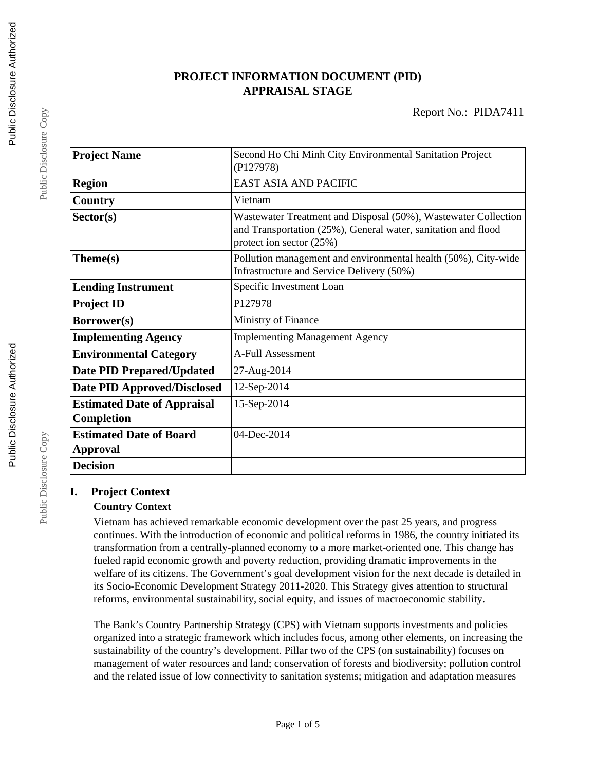# **PROJECT INFORMATION DOCUMENT (PID) APPRAISAL STAGE**

| <b>Project Name</b>                               | Second Ho Chi Minh City Environmental Sanitation Project<br>(P127978)                                                                                       |  |
|---------------------------------------------------|-------------------------------------------------------------------------------------------------------------------------------------------------------------|--|
| <b>Region</b>                                     | EAST ASIA AND PACIFIC                                                                                                                                       |  |
| Country                                           | Vietnam                                                                                                                                                     |  |
| Sector(s)                                         | Wastewater Treatment and Disposal (50%), Wastewater Collection<br>and Transportation (25%), General water, sanitation and flood<br>protect ion sector (25%) |  |
| Theme(s)                                          | Pollution management and environmental health (50%), City-wide<br>Infrastructure and Service Delivery (50%)                                                 |  |
| <b>Lending Instrument</b>                         | Specific Investment Loan                                                                                                                                    |  |
| <b>Project ID</b>                                 | P127978                                                                                                                                                     |  |
| Borrower(s)                                       | Ministry of Finance                                                                                                                                         |  |
| <b>Implementing Agency</b>                        | <b>Implementing Management Agency</b>                                                                                                                       |  |
| <b>Environmental Category</b>                     | A-Full Assessment                                                                                                                                           |  |
| <b>Date PID Prepared/Updated</b>                  | 27-Aug-2014                                                                                                                                                 |  |
| <b>Date PID Approved/Disclosed</b>                | 12-Sep-2014                                                                                                                                                 |  |
| <b>Estimated Date of Appraisal</b><br>Completion  | 15-Sep-2014                                                                                                                                                 |  |
| <b>Estimated Date of Board</b><br><b>Approval</b> | 04-Dec-2014                                                                                                                                                 |  |
| <b>Decision</b>                                   |                                                                                                                                                             |  |

# **I. Project Context Country Context**

Vietnam has achieved remarkable economic development over the past 25 years, and progress continues. With the introduction of economic and political reforms in 1986, the country initiated its transformation from a centrally-planned economy to a more market-oriented one. This change has fueled rapid economic growth and poverty reduction, providing dramatic improvements in the welfare of its citizens. The Government's goal development vision for the next decade is detailed in its Socio-Economic Development Strategy 2011-2020. This Strategy gives attention to structural reforms, environmental sustainability, social equity, and issues of macroeconomic stability.

The Bank's Country Partnership Strategy (CPS) with Vietnam supports investments and policies organized into a strategic framework which includes focus, among other elements, on increasing the sustainability of the country's development. Pillar two of the CPS (on sustainability) focuses on management of water resources and land; conservation of forests and biodiversity; pollution control and the related issue of low connectivity to sanitation systems; mitigation and adaptation measures

Public Disclosure Copy

Public Disclosure Copy

Public Disclosure Copy

Public Disclosure Copy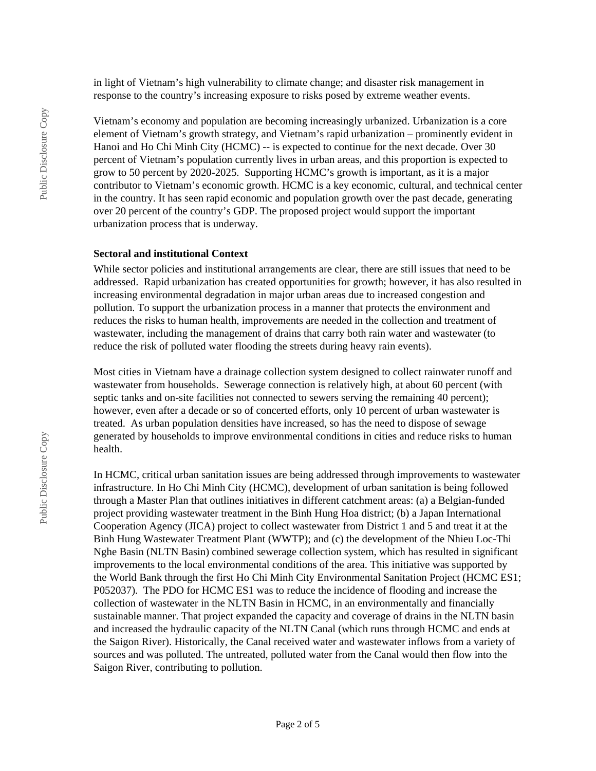in light of Vietnam's high vulnerability to climate change; and disaster risk management in response to the country's increasing exposure to risks posed by extreme weather events.

Vietnam's economy and population are becoming increasingly urbanized. Urbanization is a core element of Vietnam's growth strategy, and Vietnam's rapid urbanization – prominently evident in Hanoi and Ho Chi Minh City (HCMC) -- is expected to continue for the next decade. Over 30 percent of Vietnam's population currently lives in urban areas, and this proportion is expected to grow to 50 percent by 2020-2025. Supporting HCMC's growth is important, as it is a major contributor to Vietnam's economic growth. HCMC is a key economic, cultural, and technical center in the country. It has seen rapid economic and population growth over the past decade, generating over 20 percent of the country's GDP. The proposed project would support the important urbanization process that is underway.

#### **Sectoral and institutional Context**

While sector policies and institutional arrangements are clear, there are still issues that need to be addressed. Rapid urbanization has created opportunities for growth; however, it has also resulted in increasing environmental degradation in major urban areas due to increased congestion and pollution. To support the urbanization process in a manner that protects the environment and reduces the risks to human health, improvements are needed in the collection and treatment of wastewater, including the management of drains that carry both rain water and wastewater (to reduce the risk of polluted water flooding the streets during heavy rain events).

Most cities in Vietnam have a drainage collection system designed to collect rainwater runoff and wastewater from households. Sewerage connection is relatively high, at about 60 percent (with septic tanks and on-site facilities not connected to sewers serving the remaining 40 percent); however, even after a decade or so of concerted efforts, only 10 percent of urban wastewater is treated. As urban population densities have increased, so has the need to dispose of sewage generated by households to improve environmental conditions in cities and reduce risks to human health.

In HCMC, critical urban sanitation issues are being addressed through improvements to wastewater infrastructure. In Ho Chi Minh City (HCMC), development of urban sanitation is being followed through a Master Plan that outlines initiatives in different catchment areas: (a) a Belgian-funded project providing wastewater treatment in the Binh Hung Hoa district; (b) a Japan International Cooperation Agency (JICA) project to collect wastewater from District 1 and 5 and treat it at the Binh Hung Wastewater Treatment Plant (WWTP); and (c) the development of the Nhieu Loc-Thi Nghe Basin (NLTN Basin) combined sewerage collection system, which has resulted in significant improvements to the local environmental conditions of the area. This initiative was supported by the World Bank through the first Ho Chi Minh City Environmental Sanitation Project (HCMC ES1; P052037). The PDO for HCMC ES1 was to reduce the incidence of flooding and increase the collection of wastewater in the NLTN Basin in HCMC, in an environmentally and financially sustainable manner. That project expanded the capacity and coverage of drains in the NLTN basin and increased the hydraulic capacity of the NLTN Canal (which runs through HCMC and ends at the Saigon River). Historically, the Canal received water and wastewater inflows from a variety of sources and was polluted. The untreated, polluted water from the Canal would then flow into the Saigon River, contributing to pollution.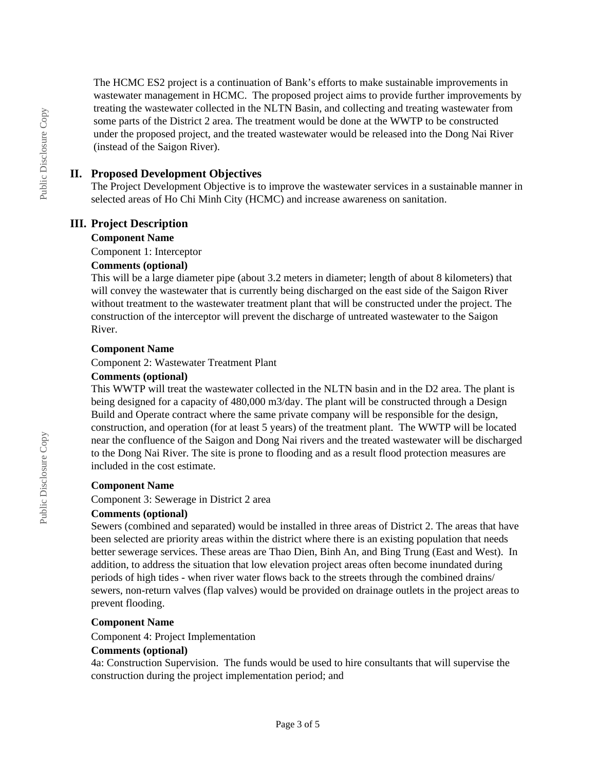The HCMC ES2 project is a continuation of Bank's efforts to make sustainable improvements in wastewater management in HCMC. The proposed project aims to provide further improvements by treating the wastewater collected in the NLTN Basin, and collecting and treating wastewater from some parts of the District 2 area. The treatment would be done at the WWTP to be constructed under the proposed project, and the treated wastewater would be released into the Dong Nai River (instead of the Saigon River).

## **II. Proposed Development Objectives**

The Project Development Objective is to improve the wastewater services in a sustainable manner in selected areas of Ho Chi Minh City (HCMC) and increase awareness on sanitation.

## **III. Project Description**

### **Component Name**

Component 1: Interceptor

#### **Comments (optional)**

This will be a large diameter pipe (about 3.2 meters in diameter; length of about 8 kilometers) that will convey the wastewater that is currently being discharged on the east side of the Saigon River without treatment to the wastewater treatment plant that will be constructed under the project. The construction of the interceptor will prevent the discharge of untreated wastewater to the Saigon River.

#### **Component Name**

Component 2: Wastewater Treatment Plant

### **Comments (optional)**

This WWTP will treat the wastewater collected in the NLTN basin and in the D2 area. The plant is being designed for a capacity of 480,000 m3/day. The plant will be constructed through a Design Build and Operate contract where the same private company will be responsible for the design, construction, and operation (for at least 5 years) of the treatment plant. The WWTP will be located near the confluence of the Saigon and Dong Nai rivers and the treated wastewater will be discharged to the Dong Nai River. The site is prone to flooding and as a result flood protection measures are included in the cost estimate.

### **Component Name**

Component 3: Sewerage in District 2 area

### **Comments (optional)**

Sewers (combined and separated) would be installed in three areas of District 2. The areas that have been selected are priority areas within the district where there is an existing population that needs better sewerage services. These areas are Thao Dien, Binh An, and Bing Trung (East and West). In addition, to address the situation that low elevation project areas often become inundated during periods of high tides - when river water flows back to the streets through the combined drains/ sewers, non-return valves (flap valves) would be provided on drainage outlets in the project areas to prevent flooding.

### **Component Name**

Component 4: Project Implementation

### **Comments (optional)**

4a: Construction Supervision. The funds would be used to hire consultants that will supervise the construction during the project implementation period; and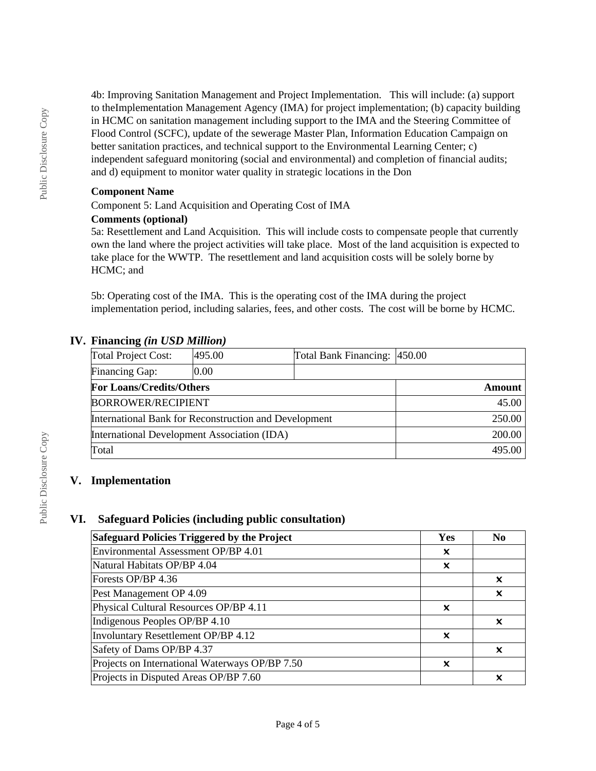4b: Improving Sanitation Management and Project Implementation. This will include: (a) support to theImplementation Management Agency (IMA) for project implementation; (b) capacity building in HCMC on sanitation management including support to the IMA and the Steering Committee of Flood Control (SCFC), update of the sewerage Master Plan, Information Education Campaign on better sanitation practices, and technical support to the Environmental Learning Center; c) independent safeguard monitoring (social and environmental) and completion of financial audits; and d) equipment to monitor water quality in strategic locations in the Don

## **Component Name**

Component 5: Land Acquisition and Operating Cost of IMA

### **Comments (optional)**

5a: Resettlement and Land Acquisition. This will include costs to compensate people that currently own the land where the project activities will take place. Most of the land acquisition is expected to take place for the WWTP. The resettlement and land acquisition costs will be solely borne by HCMC; and

5b: Operating cost of the IMA. This is the operating cost of the IMA during the project implementation period, including salaries, fees, and other costs. The cost will be borne by HCMC.

## **IV. Financing** *(in USD Million)*

| Total Project Cost:                                   | 495.00 | Total Bank Financing: 450.00 |  |
|-------------------------------------------------------|--------|------------------------------|--|
| Financing Gap:                                        | 0.00   |                              |  |
| <b>For Loans/Credits/Others</b>                       |        | Amount                       |  |
| <b>BORROWER/RECIPIENT</b>                             |        | 45.00                        |  |
| International Bank for Reconstruction and Development |        | 250.00                       |  |
| International Development Association (IDA)           |        | 200.00                       |  |
| Total                                                 |        | 495.00                       |  |

# **V. Implementation**

# **VI. Safeguard Policies (including public consultation)**

| Safeguard Policies Triggered by the Project    |                           | N <sub>0</sub>            |
|------------------------------------------------|---------------------------|---------------------------|
| Environmental Assessment OP/BP 4.01            | X                         |                           |
| Natural Habitats OP/BP 4.04                    | x                         |                           |
| Forests OP/BP 4.36                             |                           | x                         |
| Pest Management OP 4.09                        |                           | X                         |
| Physical Cultural Resources OP/BP 4.11         | x                         |                           |
| Indigenous Peoples OP/BP 4.10                  |                           | $\boldsymbol{\mathsf{x}}$ |
| Involuntary Resettlement OP/BP 4.12            | X                         |                           |
| Safety of Dams OP/BP 4.37                      |                           | x                         |
| Projects on International Waterways OP/BP 7.50 | $\boldsymbol{\mathsf{x}}$ |                           |
| Projects in Disputed Areas OP/BP 7.60          |                           | x                         |